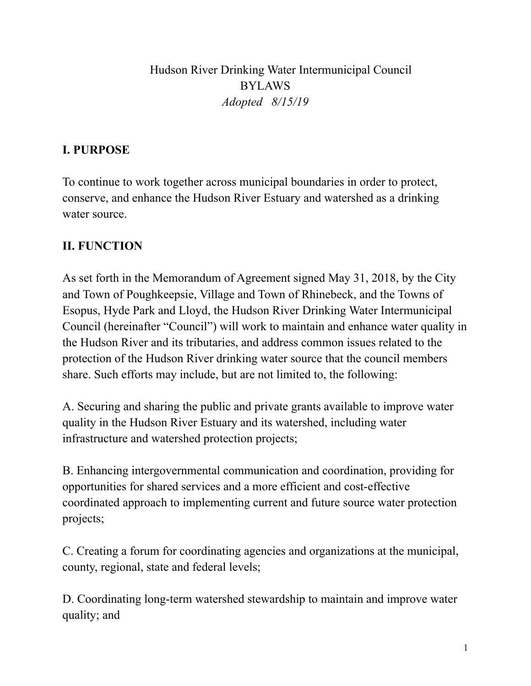Hudson River Drinking Water Intermunicipal Council BYLAWS *Adopted 8/15/19*

# **I. PURPOSE**

To continue to work together across municipal boundaries in order to protect, conserve, and enhance the Hudson River Estuary and watershed as a drinking water source.

# **II. FUNCTION**

As set forth in the Memorandum of Agreement signed May 31, 2018, by the City and Town of Poughkeepsie, Village and Town of Rhinebeck, and the Towns of Esopus, Hyde Park and Lloyd, the Hudson River Drinking Water Intermunicipal Council (hereinafter "Council") will work to maintain and enhance water quality in the Hudson River and its tributaries, and address common issues related to the protection of the Hudson River drinking water source that the council members share. Such efforts may include, but are not limited to, the following:

A. Securing and sharing the public and private grants available to improve water quality in the Hudson River Estuary and its watershed, including water infrastructure and watershed protection projects;

B. Enhancing intergovernmental communication and coordination, providing for opportunities for shared services and a more efficient and cost-effective coordinated approach to implementing current and future source water protection projects;

C. Creating a forum for coordinating agencies and organizations at the municipal, county, regional, state and federal levels;

D. Coordinating long-term watershed stewardship to maintain and improve water quality; and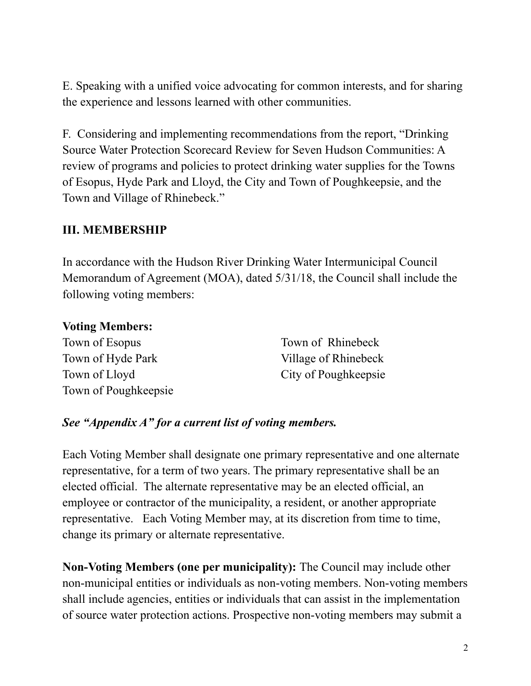E. Speaking with a unified voice advocating for common interests, and for sharing the experience and lessons learned with other communities.

F. Considering and implementing recommendations from the report, "Drinking Source Water Protection Scorecard Review for Seven Hudson Communities: A review of programs and policies to protect drinking water supplies for the Towns of Esopus, Hyde Park and Lloyd, the City and Town of Poughkeepsie, and the Town and Village of Rhinebeck."

#### **III. MEMBERSHIP**

In accordance with the Hudson River Drinking Water Intermunicipal Council Memorandum of Agreement (MOA), dated 5/31/18, the Council shall include the following voting members:

#### **Voting Members:**

Town of Esopus Town of Hyde Park Town of Lloyd Town of Poughkeepsie

Town of Rhinebeck Village of Rhinebeck City of Poughkeepsie

#### *See "Appendix A" for a current list of voting members.*

Each Voting Member shall designate one primary representative and one alternate representative, for a term of two years. The primary representative shall be an elected official. The alternate representative may be an elected official, an employee or contractor of the municipality, a resident, or another appropriate representative. Each Voting Member may, at its discretion from time to time, change its primary or alternate representative.

**Non-Voting Members (one per municipality):** The Council may include other non-municipal entities or individuals as non-voting members. Non-voting members shall include agencies, entities or individuals that can assist in the implementation of source water protection actions. Prospective non-voting members may submit a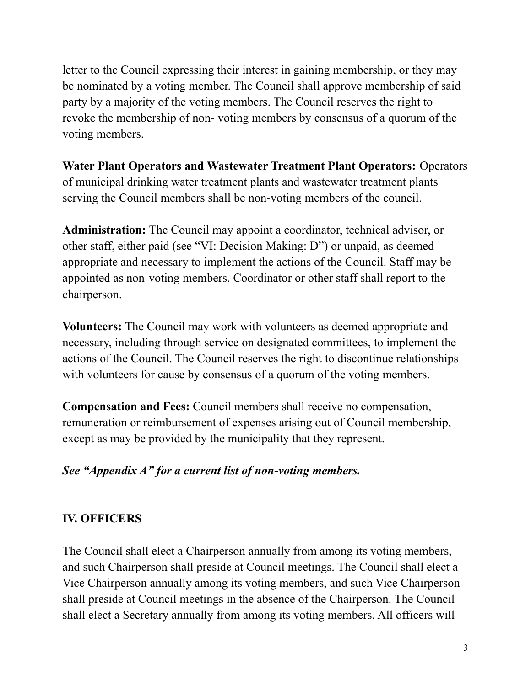letter to the Council expressing their interest in gaining membership, or they may be nominated by a voting member. The Council shall approve membership of said party by a majority of the voting members. The Council reserves the right to revoke the membership of non- voting members by consensus of a quorum of the voting members.

**Water Plant Operators and Wastewater Treatment Plant Operators:** Operators of municipal drinking water treatment plants and wastewater treatment plants serving the Council members shall be non-voting members of the council.

**Administration:** The Council may appoint a coordinator, technical advisor, or other staff, either paid (see "VI: Decision Making: D") or unpaid, as deemed appropriate and necessary to implement the actions of the Council. Staff may be appointed as non-voting members. Coordinator or other staff shall report to the chairperson.

**Volunteers:** The Council may work with volunteers as deemed appropriate and necessary, including through service on designated committees, to implement the actions of the Council. The Council reserves the right to discontinue relationships with volunteers for cause by consensus of a quorum of the voting members.

**Compensation and Fees:** Council members shall receive no compensation, remuneration or reimbursement of expenses arising out of Council membership, except as may be provided by the municipality that they represent.

# *See "Appendix A" for a current list of non-voting members.*

# **IV. OFFICERS**

The Council shall elect a Chairperson annually from among its voting members, and such Chairperson shall preside at Council meetings. The Council shall elect a Vice Chairperson annually among its voting members, and such Vice Chairperson shall preside at Council meetings in the absence of the Chairperson. The Council shall elect a Secretary annually from among its voting members. All officers will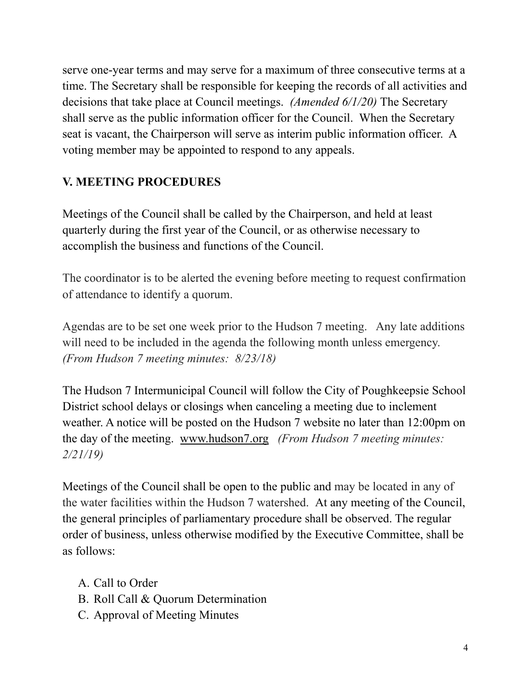serve one-year terms and may serve for a maximum of three consecutive terms at a time. The Secretary shall be responsible for keeping the records of all activities and decisions that take place at Council meetings. *(Amended 6/1/20)* The Secretary shall serve as the public information officer for the Council. When the Secretary seat is vacant, the Chairperson will serve as interim public information officer. A voting member may be appointed to respond to any appeals.

# **V. MEETING PROCEDURES**

Meetings of the Council shall be called by the Chairperson, and held at least quarterly during the first year of the Council, or as otherwise necessary to accomplish the business and functions of the Council.

The coordinator is to be alerted the evening before meeting to request confirmation of attendance to identify a quorum.

Agendas are to be set one week prior to the Hudson 7 meeting. Any late additions will need to be included in the agenda the following month unless emergency. *(From Hudson 7 meeting minutes: 8/23/18)*

The Hudson 7 Intermunicipal Council will follow the City of Poughkeepsie School District school delays or closings when canceling a meeting due to inclement weather. A notice will be posted on the Hudson 7 website no later than 12:00pm on the day of the meeting. [www.hudson7.org](http://www.hudson7.org) *(From Hudson 7 meeting minutes: 2/21/19)*

Meetings of the Council shall be open to the public and may be located in any of the water facilities within the Hudson 7 watershed. At any meeting of the Council, the general principles of parliamentary procedure shall be observed. The regular order of business, unless otherwise modified by the Executive Committee, shall be as follows:

- A. Call to Order
- B. Roll Call & Quorum Determination
- C. Approval of Meeting Minutes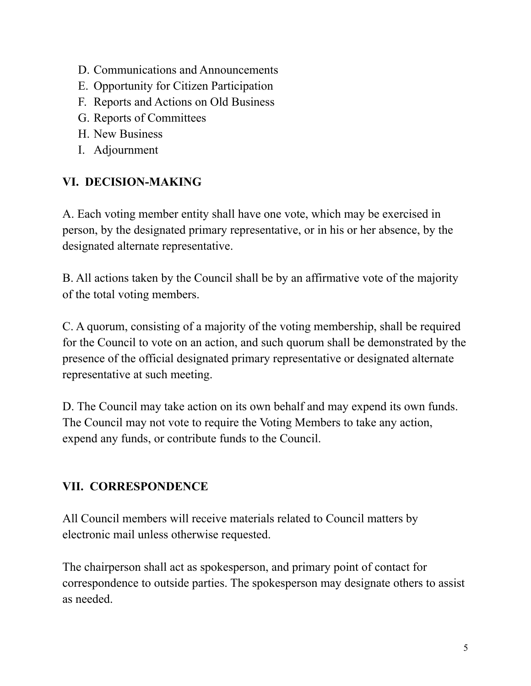- D. Communications and Announcements
- E. Opportunity for Citizen Participation
- F. Reports and Actions on Old Business
- G. Reports of Committees
- H. New Business
- I. Adjournment

# **VI. DECISION-MAKING**

A. Each voting member entity shall have one vote, which may be exercised in person, by the designated primary representative, or in his or her absence, by the designated alternate representative.

B. All actions taken by the Council shall be by an affirmative vote of the majority of the total voting members.

C. A quorum, consisting of a majority of the voting membership, shall be required for the Council to vote on an action, and such quorum shall be demonstrated by the presence of the official designated primary representative or designated alternate representative at such meeting.

D. The Council may take action on its own behalf and may expend its own funds. The Council may not vote to require the Voting Members to take any action, expend any funds, or contribute funds to the Council.

# **VII. CORRESPONDENCE**

All Council members will receive materials related to Council matters by electronic mail unless otherwise requested.

The chairperson shall act as spokesperson, and primary point of contact for correspondence to outside parties. The spokesperson may designate others to assist as needed.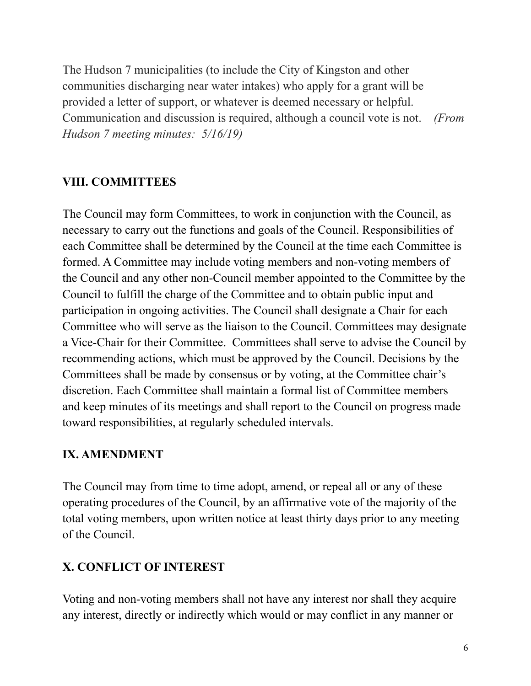The Hudson 7 municipalities (to include the City of Kingston and other communities discharging near water intakes) who apply for a grant will be provided a letter of support, or whatever is deemed necessary or helpful. Communication and discussion is required, although a council vote is not. *(From Hudson 7 meeting minutes: 5/16/19)*

# **VIII. COMMITTEES**

The Council may form Committees, to work in conjunction with the Council, as necessary to carry out the functions and goals of the Council. Responsibilities of each Committee shall be determined by the Council at the time each Committee is formed. A Committee may include voting members and non-voting members of the Council and any other non-Council member appointed to the Committee by the Council to fulfill the charge of the Committee and to obtain public input and participation in ongoing activities. The Council shall designate a Chair for each Committee who will serve as the liaison to the Council. Committees may designate a Vice-Chair for their Committee. Committees shall serve to advise the Council by recommending actions, which must be approved by the Council. Decisions by the Committees shall be made by consensus or by voting, at the Committee chair's discretion. Each Committee shall maintain a formal list of Committee members and keep minutes of its meetings and shall report to the Council on progress made toward responsibilities, at regularly scheduled intervals.

# **IX. AMENDMENT**

The Council may from time to time adopt, amend, or repeal all or any of these operating procedures of the Council, by an affirmative vote of the majority of the total voting members, upon written notice at least thirty days prior to any meeting of the Council.

# **X. CONFLICT OF INTEREST**

Voting and non-voting members shall not have any interest nor shall they acquire any interest, directly or indirectly which would or may conflict in any manner or